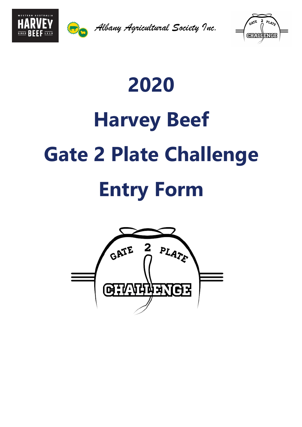



*Albany Agricultural Society Inc.*



# **2020 Harvey Beef Gate 2 Plate Challenge Entry Form**

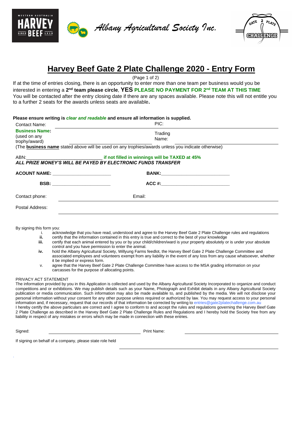



*Albany Agricultural Society Inc.*



## **Harvey Beef Gate 2 Plate Challenge 2020 - Entry Form**

(Page 1 of 2)

If at the time of entries closing, there is an opportunity to enter more than one team per business would you be  $t$  interested in entering a 2<sup>nd</sup> team please circle,  $\sf{YES}$  PLEASE NO PAYMENT FOR 2<sup>nd</sup> TEAM AT THIS TIME You will be contacted after the entry closing date if there are any spaces available. Please note this will not entitle you to a further 2 seats for the awards unless seats are available**.**

| Please ensure writing is clear and readable and ensure all information is supplied. |  |  |  |  |  |
|-------------------------------------------------------------------------------------|--|--|--|--|--|
|-------------------------------------------------------------------------------------|--|--|--|--|--|

| Contact Name:                                                                                             | PIC:             |  |  |  |  |
|-----------------------------------------------------------------------------------------------------------|------------------|--|--|--|--|
| <b>Business Name:</b><br>(used on any<br>trophy/award)                                                    | Trading<br>Name: |  |  |  |  |
| (The <b>business name</b> stated above will be used on any trophies/awards unless you indicate otherwise) |                  |  |  |  |  |
| ALL PRIZE MONEY'S WILL BE PAYED BY ELECTRONIC FUNDS TRANSFER                                              |                  |  |  |  |  |
|                                                                                                           |                  |  |  |  |  |
| BSB: ________________________                                                                             |                  |  |  |  |  |
| Contact phone:                                                                                            | Email:           |  |  |  |  |
| Postal Address:                                                                                           |                  |  |  |  |  |

By signing this form you:

- i. acknowledge that you have read, understood and agree to the Harvey Beef Gate 2 Plate Challenge rules and regulations
- **ii.** certify that the information contained in this entry is true and correct to the best of your knowledge iii<br>ii. certify that each animal entered by you or by your child/children/ward is your property absolutely o certify that each animal entered by you or by your child/children/ward is your property absolutely or is under your absolute control and you have permission to enter the animal.
- **iv.** hold the Albany Agricultural Society, Willyung Farms feedlot, the Harvey Beef Gate 2 Plate Challenge Committee and associated employees and volunteers exempt from any liability in the event of any loss from any cause whatsoever, whether it be implied or express form.
- v. agree that the Harvey Beef Gate 2 Plate Challenge Committee have access to the MSA grading information on your carcasses for the purpose of allocating points.

#### PRIVACY ACT STATEMENT

The information provided by you in this Application is collected and used by the Albany Agricultural Society Incorporated to organize and conduct competitions and or exhibitions. We may publish details such as your Name, Photograph and Exhibit details in any Albany Agricultural Society publication or media communication. Such information may also be made available to, and published by the media. We will not disclose your personal information without your consent for any other purpose unless required or authorized by law. You may request access to your personal information and, if necessary, request that our records of that information be corrected by writing to entries@gate2platechallenge.com.au I hereby certify the above particulars are correct and I agree to conform to and accept the rules and regulations governing the Harvey Beef Gate 2 Plate Challenge as described in the Harvey Beef Gate 2 Plate Challenge Rules and Regulations and I hereby hold the Society free from any liability in respect of any mistakes or errors which may be made in connection with these entries.

.

Signed: Print Name:

If signing on behalf of a company, please state role held